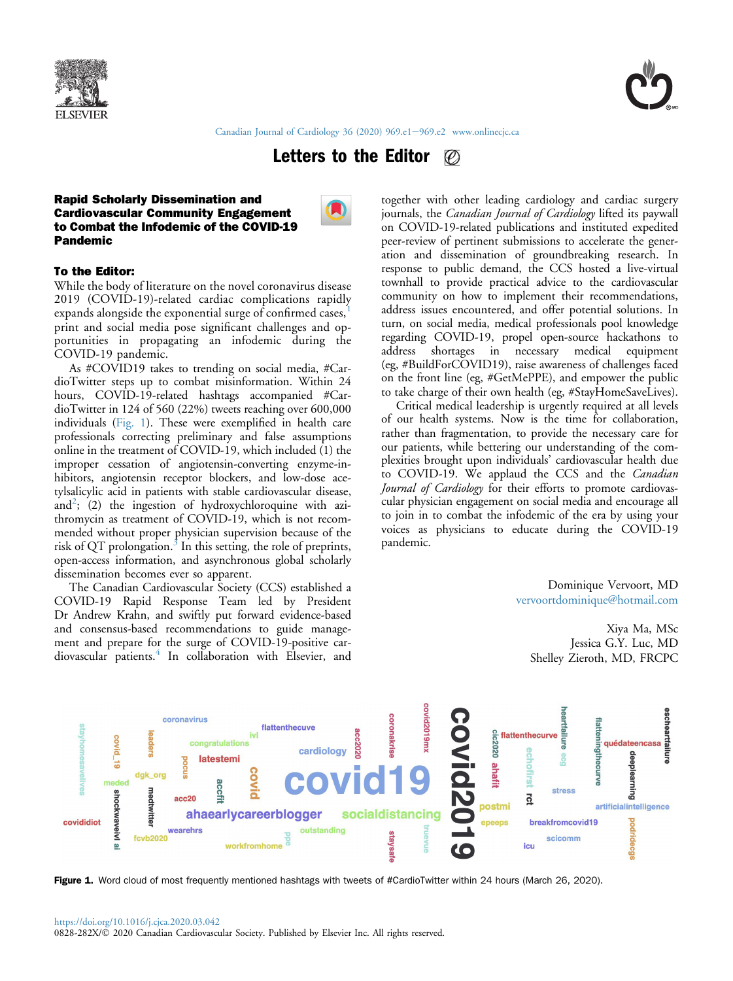



[Canadian Journal of Cardiology 36 \(2020\) 969.e1](https://doi.org/10.1016/j.cjca.2020.03.042)-[969.e2](https://doi.org/10.1016/j.cjca.2020.03.042) [www.onlinecjc.ca](http://www.onlinecjc.ca)

#### Letters to the Editor  $\mathcal{O}$

### Rapid Scholarly Dissemination and Cardiovascular Community Engagement to Combat the Infodemic of the COVID-19 Pandemic



# To the Editor:

While the body of literature on the novel coronavirus disease 2019 (COVID-19)-related cardiac complications rapidly expands alongside the exponential surge of confirmed cases, print and social media pose significant challenges and opportunities in propagating an infodemic during the COVID-19 pandemic.

As #COVID19 takes to trending on social media, #CardioTwitter steps up to combat misinformation. Within 24 hours, COVID-19-related hashtags accompanied #CardioTwitter in 124 of 560 (22%) tweets reaching over 600,000 individuals ([Fig. 1\)](#page-0-0). These were exemplified in health care professionals correcting preliminary and false assumptions online in the treatment of COVID-19, which included (1) the improper cessation of angiotensin-converting enzyme-inhibitors, angiotensin receptor blockers, and low-dose acetylsalicylic acid in patients with stable cardiovascular disease, and<sup>[2](#page-1-1)</sup>; (2) the ingestion of hydroxychloroquine with azithromycin as treatment of COVID-19, which is not recommended without proper physician supervision because of the risk of QT prolongation. $3 \text{ In this setting, the role of preprints,}$  $3 \text{ In this setting, the role of preprints,}$ open-access information, and asynchronous global scholarly dissemination becomes ever so apparent.

The Canadian Cardiovascular Society (CCS) established a COVID-19 Rapid Response Team led by President Dr Andrew Krahn, and swiftly put forward evidence-based and consensus-based recommendations to guide management and prepare for the surge of COVID-19-positive car-diovascular patients.<sup>[4](#page-1-3)</sup> In collaboration with Elsevier, and

together with other leading cardiology and cardiac surgery journals, the Canadian Journal of Cardiology lifted its paywall on COVID-19-related publications and instituted expedited peer-review of pertinent submissions to accelerate the generation and dissemination of groundbreaking research. In response to public demand, the CCS hosted a live-virtual townhall to provide practical advice to the cardiovascular community on how to implement their recommendations, address issues encountered, and offer potential solutions. In turn, on social media, medical professionals pool knowledge regarding COVID-19, propel open-source hackathons to address shortages in necessary medical equipment (eg, #BuildForCOVID19), raise awareness of challenges faced on the front line (eg, #GetMePPE), and empower the public to take charge of their own health (eg, #StayHomeSaveLives).

Critical medical leadership is urgently required at all levels of our health systems. Now is the time for collaboration, rather than fragmentation, to provide the necessary care for our patients, while bettering our understanding of the complexities brought upon individuals' cardiovascular health due to COVID-19. We applaud the CCS and the *Canadian* Journal of Cardiology for their efforts to promote cardiovascular physician engagement on social media and encourage all to join in to combat the infodemic of the era by using your voices as physicians to educate during the COVID-19 pandemic.

> Dominique Vervoort, MD [vervoortdominique@hotmail.com](mailto:vervoortdominique@hotmail.com)

Xiya Ma, MSc Jessica G.Y. Luc, MD Shelley Zieroth, MD, FRCPC

<span id="page-0-0"></span>

Figure 1. Word cloud of most frequently mentioned hashtags with tweets of #CardioTwitter within 24 hours (March 26, 2020).